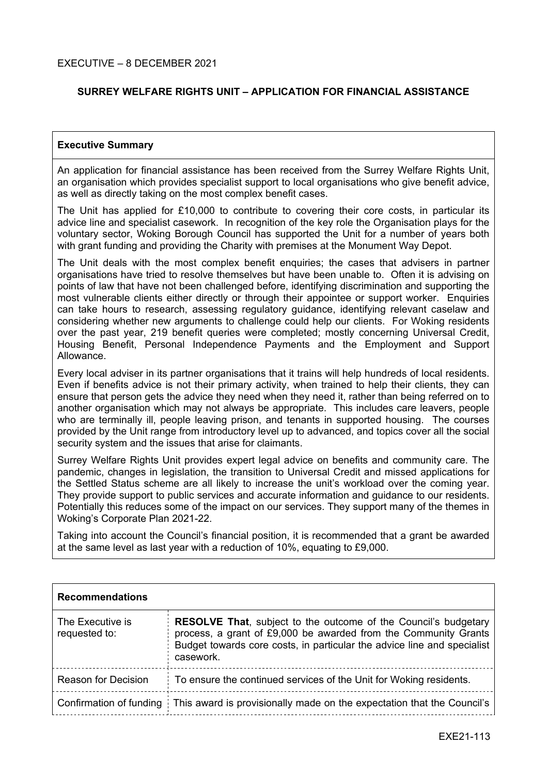## **SURREY WELFARE RIGHTS UNIT – APPLICATION FOR FINANCIAL ASSISTANCE**

#### **Executive Summary**

An application for financial assistance has been received from the Surrey Welfare Rights Unit, an organisation which provides specialist support to local organisations who give benefit advice, as well as directly taking on the most complex benefit cases.

The Unit has applied for £10,000 to contribute to covering their core costs, in particular its advice line and specialist casework. In recognition of the key role the Organisation plays for the voluntary sector, Woking Borough Council has supported the Unit for a number of years both with grant funding and providing the Charity with premises at the Monument Way Depot.

The Unit deals with the most complex benefit enquiries; the cases that advisers in partner organisations have tried to resolve themselves but have been unable to. Often it is advising on points of law that have not been challenged before, identifying discrimination and supporting the most vulnerable clients either directly or through their appointee or support worker. Enquiries can take hours to research, assessing regulatory guidance, identifying relevant caselaw and considering whether new arguments to challenge could help our clients. For Woking residents over the past year, 219 benefit queries were completed; mostly concerning Universal Credit, Housing Benefit, Personal Independence Payments and the Employment and Support Allowance.

Every local adviser in its partner organisations that it trains will help hundreds of local residents. Even if benefits advice is not their primary activity, when trained to help their clients, they can ensure that person gets the advice they need when they need it, rather than being referred on to another organisation which may not always be appropriate. This includes care leavers, people who are terminally ill, people leaving prison, and tenants in supported housing. The courses provided by the Unit range from introductory level up to advanced, and topics cover all the social security system and the issues that arise for claimants.

Surrey Welfare Rights Unit provides expert legal advice on benefits and community care. The pandemic, changes in legislation, the transition to Universal Credit and missed applications for the Settled Status scheme are all likely to increase the unit's workload over the coming year. They provide support to public services and accurate information and guidance to our residents. Potentially this reduces some of the impact on our services. They support many of the themes in Woking's Corporate Plan 2021-22.

Taking into account the Council's financial position, it is recommended that a grant be awarded at the same level as last year with a reduction of 10%, equating to £9,000.

| <b>Recommendations</b> |
|------------------------|
|------------------------|

| The Executive is<br>requested to: | <b>RESOLVE That, subject to the outcome of the Council's budgetary</b><br>process, a grant of £9,000 be awarded from the Community Grants<br>Budget towards core costs, in particular the advice line and specialist<br>casework. |  |
|-----------------------------------|-----------------------------------------------------------------------------------------------------------------------------------------------------------------------------------------------------------------------------------|--|
| <b>Reason for Decision</b>        | To ensure the continued services of the Unit for Woking residents.                                                                                                                                                                |  |
|                                   | Confirmation of funding   This award is provisionally made on the expectation that the Council's                                                                                                                                  |  |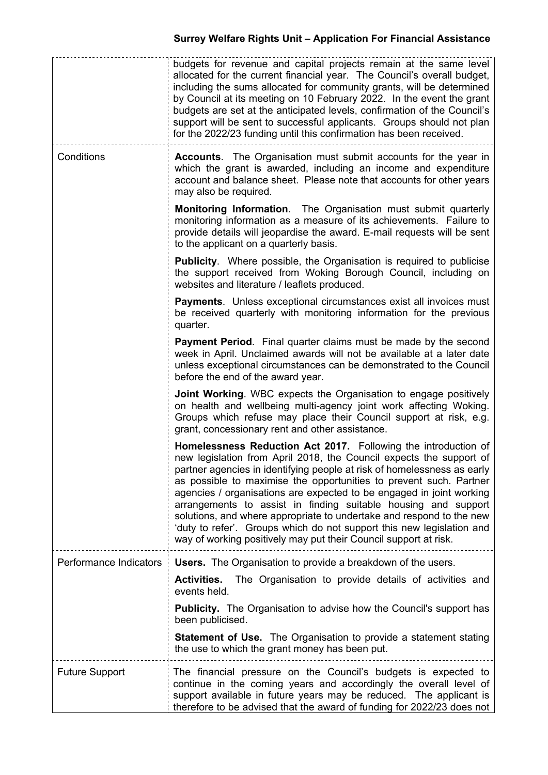|                        | budgets for revenue and capital projects remain at the same level<br>allocated for the current financial year. The Council's overall budget,<br>including the sums allocated for community grants, will be determined<br>by Council at its meeting on 10 February 2022. In the event the grant<br>budgets are set at the anticipated levels, confirmation of the Council's<br>support will be sent to successful applicants. Groups should not plan<br>for the 2022/23 funding until this confirmation has been received.                                                                                                                             |  |  |
|------------------------|-------------------------------------------------------------------------------------------------------------------------------------------------------------------------------------------------------------------------------------------------------------------------------------------------------------------------------------------------------------------------------------------------------------------------------------------------------------------------------------------------------------------------------------------------------------------------------------------------------------------------------------------------------|--|--|
| Conditions             | <b>Accounts.</b> The Organisation must submit accounts for the year in<br>which the grant is awarded, including an income and expenditure<br>account and balance sheet. Please note that accounts for other years<br>may also be required.                                                                                                                                                                                                                                                                                                                                                                                                            |  |  |
|                        | Monitoring Information. The Organisation must submit quarterly<br>monitoring information as a measure of its achievements. Failure to<br>provide details will jeopardise the award. E-mail requests will be sent<br>to the applicant on a quarterly basis.                                                                                                                                                                                                                                                                                                                                                                                            |  |  |
|                        | Publicity. Where possible, the Organisation is required to publicise<br>the support received from Woking Borough Council, including on<br>websites and literature / leaflets produced.                                                                                                                                                                                                                                                                                                                                                                                                                                                                |  |  |
|                        | <b>Payments.</b> Unless exceptional circumstances exist all invoices must<br>be received quarterly with monitoring information for the previous<br>quarter.                                                                                                                                                                                                                                                                                                                                                                                                                                                                                           |  |  |
|                        | <b>Payment Period.</b> Final quarter claims must be made by the second<br>week in April. Unclaimed awards will not be available at a later date<br>unless exceptional circumstances can be demonstrated to the Council<br>before the end of the award year.                                                                                                                                                                                                                                                                                                                                                                                           |  |  |
|                        | <b>Joint Working.</b> WBC expects the Organisation to engage positively<br>on health and wellbeing multi-agency joint work affecting Woking.<br>Groups which refuse may place their Council support at risk, e.g.<br>grant, concessionary rent and other assistance.                                                                                                                                                                                                                                                                                                                                                                                  |  |  |
|                        | Homelessness Reduction Act 2017. Following the introduction of<br>new legislation from April 2018, the Council expects the support of<br>partner agencies in identifying people at risk of homelessness as early<br>as possible to maximise the opportunities to prevent such. Partner<br>agencies / organisations are expected to be engaged in joint working<br>arrangements to assist in finding suitable housing and support<br>solutions, and where appropriate to undertake and respond to the new<br>'duty to refer'. Groups which do not support this new legislation and<br>way of working positively may put their Council support at risk. |  |  |
| Performance Indicators | <b>Users.</b> The Organisation to provide a breakdown of the users.                                                                                                                                                                                                                                                                                                                                                                                                                                                                                                                                                                                   |  |  |
|                        | <b>Activities.</b><br>The Organisation to provide details of activities and<br>events held.                                                                                                                                                                                                                                                                                                                                                                                                                                                                                                                                                           |  |  |
|                        | <b>Publicity.</b> The Organisation to advise how the Council's support has<br>been publicised.                                                                                                                                                                                                                                                                                                                                                                                                                                                                                                                                                        |  |  |
|                        | <b>Statement of Use.</b> The Organisation to provide a statement stating<br>the use to which the grant money has been put.                                                                                                                                                                                                                                                                                                                                                                                                                                                                                                                            |  |  |
| <b>Future Support</b>  | The financial pressure on the Council's budgets is expected to<br>continue in the coming years and accordingly the overall level of<br>support available in future years may be reduced. The applicant is<br>therefore to be advised that the award of funding for 2022/23 does not                                                                                                                                                                                                                                                                                                                                                                   |  |  |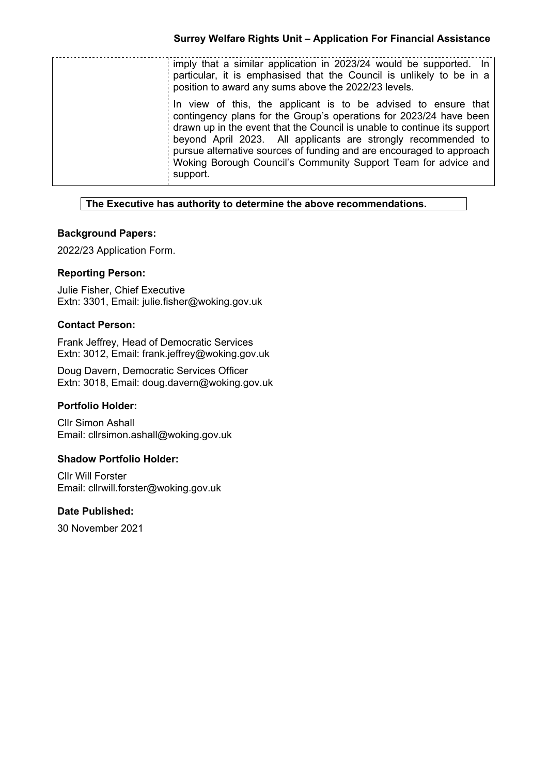| imply that a similar application in 2023/24 would be supported. In<br>particular, it is emphasised that the Council is unlikely to be in a<br>position to award any sums above the 2022/23 levels.                                                                                                                                                                                                                                      |
|-----------------------------------------------------------------------------------------------------------------------------------------------------------------------------------------------------------------------------------------------------------------------------------------------------------------------------------------------------------------------------------------------------------------------------------------|
| In view of this, the applicant is to be advised to ensure that<br>contingency plans for the Group's operations for 2023/24 have been<br>drawn up in the event that the Council is unable to continue its support<br>beyond April 2023. All applicants are strongly recommended to<br>pursue alternative sources of funding and are encouraged to approach<br>Woking Borough Council's Community Support Team for advice and<br>support. |

## **The Executive has authority to determine the above recommendations.**

## **Background Papers:**

2022/23 Application Form.

## **Reporting Person:**

Julie Fisher, Chief Executive Extn: 3301, Email: julie.fisher@woking.gov.uk

### **Contact Person:**

Frank Jeffrey, Head of Democratic Services Extn: 3012, Email: frank.jeffrey@woking.gov.uk

Doug Davern, Democratic Services Officer Extn: 3018, Email: doug.davern@woking.gov.uk

### **Portfolio Holder:**

Cllr Simon Ashall Email: cllrsimon.ashall@woking.gov.uk

### **Shadow Portfolio Holder:**

Cllr Will Forster Email: cllrwill.forster@woking.gov.uk

### **Date Published:**

30 November 2021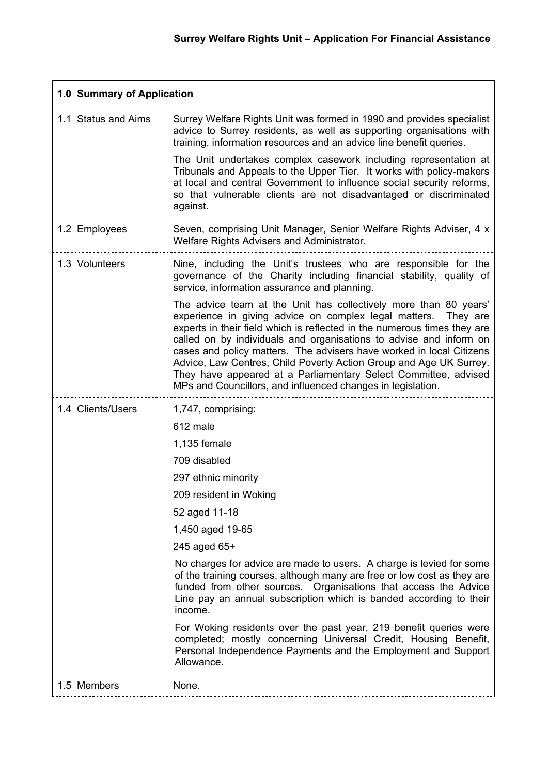| 1.0 Summary of Application |                                                                                                                                                                                                                                                                                                                                                                                                                                                                                                                                                                         |  |  |
|----------------------------|-------------------------------------------------------------------------------------------------------------------------------------------------------------------------------------------------------------------------------------------------------------------------------------------------------------------------------------------------------------------------------------------------------------------------------------------------------------------------------------------------------------------------------------------------------------------------|--|--|
| 1.1 Status and Aims        | Surrey Welfare Rights Unit was formed in 1990 and provides specialist<br>advice to Surrey residents, as well as supporting organisations with<br>training, information resources and an advice line benefit queries.                                                                                                                                                                                                                                                                                                                                                    |  |  |
|                            | The Unit undertakes complex casework including representation at<br>Tribunals and Appeals to the Upper Tier. It works with policy-makers<br>at local and central Government to influence social security reforms,<br>so that vulnerable clients are not disadvantaged or discriminated<br>against.                                                                                                                                                                                                                                                                      |  |  |
| 1.2 Employees              | Seven, comprising Unit Manager, Senior Welfare Rights Adviser, 4 x<br>Welfare Rights Advisers and Administrator.                                                                                                                                                                                                                                                                                                                                                                                                                                                        |  |  |
| 1.3 Volunteers             | Nine, including the Unit's trustees who are responsible for the<br>governance of the Charity including financial stability, quality of<br>service, information assurance and planning.                                                                                                                                                                                                                                                                                                                                                                                  |  |  |
|                            | The advice team at the Unit has collectively more than 80 years'<br>experience in giving advice on complex legal matters.<br>They are<br>experts in their field which is reflected in the numerous times they are<br>called on by individuals and organisations to advise and inform on<br>cases and policy matters. The advisers have worked in local Citizens<br>Advice, Law Centres, Child Poverty Action Group and Age UK Surrey.<br>They have appeared at a Parliamentary Select Committee, advised<br>MPs and Councillors, and influenced changes in legislation. |  |  |
| 1.4 Clients/Users          | 1,747, comprising:                                                                                                                                                                                                                                                                                                                                                                                                                                                                                                                                                      |  |  |
|                            | 612 male                                                                                                                                                                                                                                                                                                                                                                                                                                                                                                                                                                |  |  |
|                            | 1,135 female                                                                                                                                                                                                                                                                                                                                                                                                                                                                                                                                                            |  |  |
|                            | 709 disabled                                                                                                                                                                                                                                                                                                                                                                                                                                                                                                                                                            |  |  |
|                            | 297 ethnic minority                                                                                                                                                                                                                                                                                                                                                                                                                                                                                                                                                     |  |  |
|                            | 209 resident in Woking<br>52 aged 11-18                                                                                                                                                                                                                                                                                                                                                                                                                                                                                                                                 |  |  |
|                            | 1,450 aged 19-65                                                                                                                                                                                                                                                                                                                                                                                                                                                                                                                                                        |  |  |
|                            | 245 aged 65+                                                                                                                                                                                                                                                                                                                                                                                                                                                                                                                                                            |  |  |
|                            | No charges for advice are made to users. A charge is levied for some<br>of the training courses, although many are free or low cost as they are<br>funded from other sources. Organisations that access the Advice<br>Line pay an annual subscription which is banded according to their<br>income.                                                                                                                                                                                                                                                                     |  |  |
|                            | For Woking residents over the past year, 219 benefit queries were<br>completed; mostly concerning Universal Credit, Housing Benefit,<br>Personal Independence Payments and the Employment and Support<br>Allowance.                                                                                                                                                                                                                                                                                                                                                     |  |  |
| 1.5 Members                | None.                                                                                                                                                                                                                                                                                                                                                                                                                                                                                                                                                                   |  |  |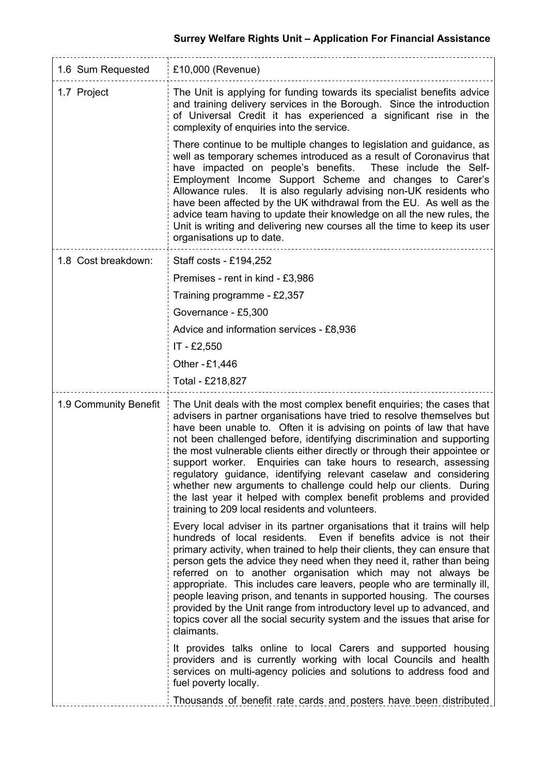# **Surrey Welfare Rights Unit – Application For Financial Assistance**

| 1.6 Sum Requested     | £10,000 (Revenue)                                                                                                                                                                                                                                                                                                                                                                                                                                                                                                                                                                                                                                                                                                    |  |  |  |
|-----------------------|----------------------------------------------------------------------------------------------------------------------------------------------------------------------------------------------------------------------------------------------------------------------------------------------------------------------------------------------------------------------------------------------------------------------------------------------------------------------------------------------------------------------------------------------------------------------------------------------------------------------------------------------------------------------------------------------------------------------|--|--|--|
| 1.7 Project           | The Unit is applying for funding towards its specialist benefits advice<br>and training delivery services in the Borough. Since the introduction<br>of Universal Credit it has experienced a significant rise in the<br>complexity of enquiries into the service.                                                                                                                                                                                                                                                                                                                                                                                                                                                    |  |  |  |
|                       | There continue to be multiple changes to legislation and guidance, as<br>well as temporary schemes introduced as a result of Coronavirus that<br>have impacted on people's benefits.<br>These include the Self-<br>Employment Income Support Scheme and changes to Carer's<br>It is also regularly advising non-UK residents who<br>Allowance rules.<br>have been affected by the UK withdrawal from the EU. As well as the<br>advice team having to update their knowledge on all the new rules, the<br>Unit is writing and delivering new courses all the time to keep its user<br>organisations up to date.                                                                                                       |  |  |  |
| 1.8 Cost breakdown:   | Staff costs - £194,252                                                                                                                                                                                                                                                                                                                                                                                                                                                                                                                                                                                                                                                                                               |  |  |  |
|                       | Premises - rent in kind - £3,986                                                                                                                                                                                                                                                                                                                                                                                                                                                                                                                                                                                                                                                                                     |  |  |  |
|                       | Training programme - £2,357                                                                                                                                                                                                                                                                                                                                                                                                                                                                                                                                                                                                                                                                                          |  |  |  |
|                       | Governance - £5,300                                                                                                                                                                                                                                                                                                                                                                                                                                                                                                                                                                                                                                                                                                  |  |  |  |
|                       | Advice and information services - £8,936                                                                                                                                                                                                                                                                                                                                                                                                                                                                                                                                                                                                                                                                             |  |  |  |
|                       | IT - £2,550                                                                                                                                                                                                                                                                                                                                                                                                                                                                                                                                                                                                                                                                                                          |  |  |  |
|                       | Other - £1,446                                                                                                                                                                                                                                                                                                                                                                                                                                                                                                                                                                                                                                                                                                       |  |  |  |
|                       | Total - £218,827                                                                                                                                                                                                                                                                                                                                                                                                                                                                                                                                                                                                                                                                                                     |  |  |  |
| 1.9 Community Benefit | The Unit deals with the most complex benefit enquiries; the cases that<br>advisers in partner organisations have tried to resolve themselves but<br>have been unable to. Often it is advising on points of law that have<br>not been challenged before, identifying discrimination and supporting<br>the most vulnerable clients either directly or through their appointee or<br>support worker. Enquiries can take hours to research, assessing<br>regulatory guidance, identifying relevant caselaw and considering<br>whether new arguments to challenge could help our clients. During<br>the last year it helped with complex benefit problems and provided<br>training to 209 local residents and volunteers. |  |  |  |
|                       | Every local adviser in its partner organisations that it trains will help<br>hundreds of local residents. Even if benefits advice is not their<br>primary activity, when trained to help their clients, they can ensure that<br>person gets the advice they need when they need it, rather than being<br>referred on to another organisation which may not always be<br>appropriate. This includes care leavers, people who are terminally ill,<br>people leaving prison, and tenants in supported housing. The courses<br>provided by the Unit range from introductory level up to advanced, and<br>topics cover all the social security system and the issues that arise for<br>claimants.                         |  |  |  |
|                       | It provides talks online to local Carers and supported housing<br>providers and is currently working with local Councils and health<br>services on multi-agency policies and solutions to address food and<br>fuel poverty locally.                                                                                                                                                                                                                                                                                                                                                                                                                                                                                  |  |  |  |
|                       | Thousands of benefit rate cards and posters have been distributed                                                                                                                                                                                                                                                                                                                                                                                                                                                                                                                                                                                                                                                    |  |  |  |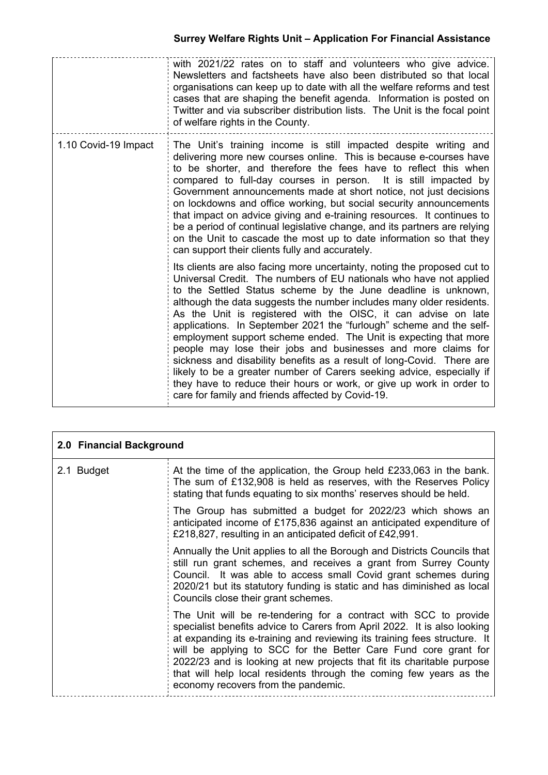|                      | with 2021/22 rates on to staff and volunteers who give advice.<br>Newsletters and factsheets have also been distributed so that local<br>organisations can keep up to date with all the welfare reforms and test<br>cases that are shaping the benefit agenda. Information is posted on<br>Twitter and via subscriber distribution lists. The Unit is the focal point<br>of welfare rights in the County.                                                                                                                                                                                                                                                                                                                                                                                                                                            |
|----------------------|------------------------------------------------------------------------------------------------------------------------------------------------------------------------------------------------------------------------------------------------------------------------------------------------------------------------------------------------------------------------------------------------------------------------------------------------------------------------------------------------------------------------------------------------------------------------------------------------------------------------------------------------------------------------------------------------------------------------------------------------------------------------------------------------------------------------------------------------------|
| 1.10 Covid-19 Impact | The Unit's training income is still impacted despite writing and<br>delivering more new courses online. This is because e-courses have<br>to be shorter, and therefore the fees have to reflect this when<br>compared to full-day courses in person. It is still impacted by<br>Government announcements made at short notice, not just decisions<br>on lockdowns and office working, but social security announcements<br>that impact on advice giving and e-training resources. It continues to<br>be a period of continual legislative change, and its partners are relying<br>on the Unit to cascade the most up to date information so that they<br>can support their clients fully and accurately.                                                                                                                                             |
|                      | Its clients are also facing more uncertainty, noting the proposed cut to<br>Universal Credit. The numbers of EU nationals who have not applied<br>to the Settled Status scheme by the June deadline is unknown,<br>although the data suggests the number includes many older residents.<br>As the Unit is registered with the OISC, it can advise on late<br>applications. In September 2021 the "furlough" scheme and the self-<br>employment support scheme ended. The Unit is expecting that more<br>people may lose their jobs and businesses and more claims for<br>sickness and disability benefits as a result of long-Covid. There are<br>likely to be a greater number of Carers seeking advice, especially if<br>they have to reduce their hours or work, or give up work in order to<br>care for family and friends affected by Covid-19. |

| 2.0 Financial Background |                                                                                                                                                                                                                                                                                                                                                                                                                                                                                     |  |
|--------------------------|-------------------------------------------------------------------------------------------------------------------------------------------------------------------------------------------------------------------------------------------------------------------------------------------------------------------------------------------------------------------------------------------------------------------------------------------------------------------------------------|--|
| 2.1 Budget               | At the time of the application, the Group held $£233,063$ in the bank.<br>The sum of £132,908 is held as reserves, with the Reserves Policy<br>stating that funds equating to six months' reserves should be held.                                                                                                                                                                                                                                                                  |  |
|                          | The Group has submitted a budget for 2022/23 which shows an<br>anticipated income of £175,836 against an anticipated expenditure of<br>£218,827, resulting in an anticipated deficit of £42,991.                                                                                                                                                                                                                                                                                    |  |
|                          | Annually the Unit applies to all the Borough and Districts Councils that<br>still run grant schemes, and receives a grant from Surrey County<br>Council. It was able to access small Covid grant schemes during<br>2020/21 but its statutory funding is static and has diminished as local<br>Councils close their grant schemes.                                                                                                                                                   |  |
|                          | The Unit will be re-tendering for a contract with SCC to provide<br>specialist benefits advice to Carers from April 2022. It is also looking<br>at expanding its e-training and reviewing its training fees structure. It<br>will be applying to SCC for the Better Care Fund core grant for<br>2022/23 and is looking at new projects that fit its charitable purpose<br>that will help local residents through the coming few years as the<br>economy recovers from the pandemic. |  |